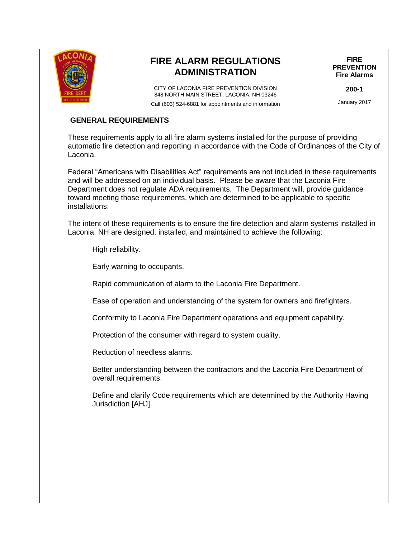

# **FIRE ALARM REGULATIONS ADMINISTRATION**

CITY OF LACONIA FIRE PREVENTION DIVISION 848 NORTH MAIN STREET, LACONIA, NH 03246 Call (603) 524-6881 for appointments and information

**FIRE PREVENTION Fire Alarms**

**200-1**

January 2017

#### **GENERAL REQUIREMENTS**

These requirements apply to all fire alarm systems installed for the purpose of providing automatic fire detection and reporting in accordance with the Code of Ordinances of the City of Laconia.

Federal "Americans with Disabilities Act" requirements are not included in these requirements and will be addressed on an individual basis. Please be aware that the Laconia Fire Department does not regulate ADA requirements. The Department will, provide guidance toward meeting those requirements, which are determined to be applicable to specific installations.

The intent of these requirements is to ensure the fire detection and alarm systems installed in Laconia, NH are designed, installed, and maintained to achieve the following:

High reliability.

Early warning to occupants.

Rapid communication of alarm to the Laconia Fire Department.

Ease of operation and understanding of the system for owners and firefighters.

Conformity to Laconia Fire Department operations and equipment capability.

Protection of the consumer with regard to system quality.

Reduction of needless alarms.

Better understanding between the contractors and the Laconia Fire Department of overall requirements.

Define and clarify Code requirements which are determined by the Authority Having Jurisdiction [AHJ].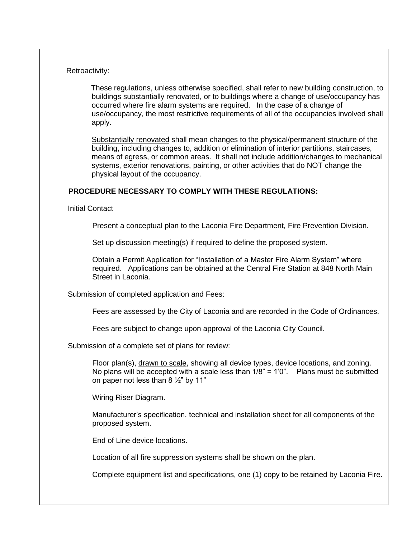#### Retroactivity:

 These regulations, unless otherwise specified, shall refer to new building construction, to buildings substantially renovated, or to buildings where a change of use/occupancy has occurred where fire alarm systems are required. In the case of a change of use/occupancy, the most restrictive requirements of all of the occupancies involved shall apply.

Substantially renovated shall mean changes to the physical/permanent structure of the building, including changes to, addition or elimination of interior partitions, staircases, means of egress, or common areas. It shall not include addition/changes to mechanical systems, exterior renovations, painting, or other activities that do NOT change the physical layout of the occupancy.

#### **PROCEDURE NECESSARY TO COMPLY WITH THESE REGULATIONS:**

Initial Contact

Present a conceptual plan to the Laconia Fire Department, Fire Prevention Division.

Set up discussion meeting(s) if required to define the proposed system.

Obtain a Permit Application for "Installation of a Master Fire Alarm System" where required. Applications can be obtained at the Central Fire Station at 848 North Main Street in Laconia.

Submission of completed application and Fees:

Fees are assessed by the City of Laconia and are recorded in the Code of Ordinances.

Fees are subject to change upon approval of the Laconia City Council.

Submission of a complete set of plans for review:

Floor plan(s), drawn to scale, showing all device types, device locations, and zoning. No plans will be accepted with a scale less than  $1/8$ " =  $1'0$ ". Plans must be submitted on paper not less than  $8\frac{1}{2}$ " by 11"

Wiring Riser Diagram.

Manufacturer's specification, technical and installation sheet for all components of the proposed system.

End of Line device locations.

Location of all fire suppression systems shall be shown on the plan.

Complete equipment list and specifications, one (1) copy to be retained by Laconia Fire.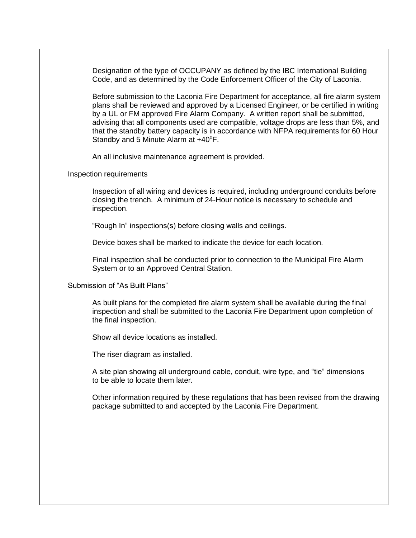Designation of the type of OCCUPANY as defined by the IBC International Building Code, and as determined by the Code Enforcement Officer of the City of Laconia.

Before submission to the Laconia Fire Department for acceptance, all fire alarm system plans shall be reviewed and approved by a Licensed Engineer, or be certified in writing by a UL or FM approved Fire Alarm Company. A written report shall be submitted, advising that all components used are compatible, voltage drops are less than 5%, and that the standby battery capacity is in accordance with NFPA requirements for 60 Hour Standby and 5 Minute Alarm at +40<sup>°</sup>F.

An all inclusive maintenance agreement is provided.

Inspection requirements

Inspection of all wiring and devices is required, including underground conduits before closing the trench. A minimum of 24-Hour notice is necessary to schedule and inspection.

"Rough In" inspections(s) before closing walls and ceilings.

Device boxes shall be marked to indicate the device for each location.

Final inspection shall be conducted prior to connection to the Municipal Fire Alarm System or to an Approved Central Station.

Submission of "As Built Plans"

As built plans for the completed fire alarm system shall be available during the final inspection and shall be submitted to the Laconia Fire Department upon completion of the final inspection.

Show all device locations as installed.

The riser diagram as installed.

A site plan showing all underground cable, conduit, wire type, and "tie" dimensions to be able to locate them later.

Other information required by these regulations that has been revised from the drawing package submitted to and accepted by the Laconia Fire Department.